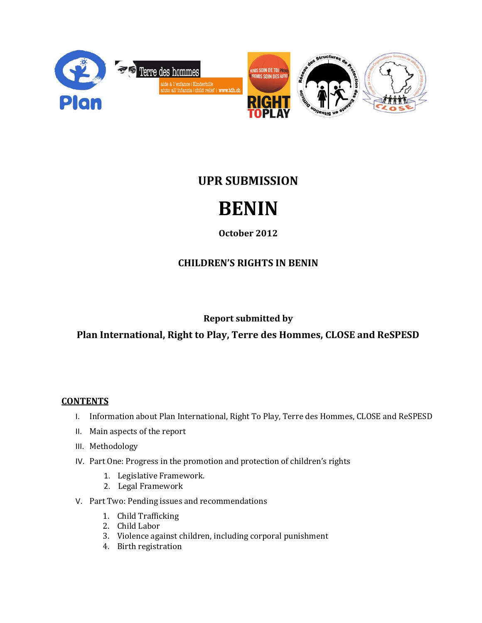

# **UPR SUBMISSION**

# **BENIN**

## **October 2012**

# **CHILDREN'S RIGHTS IN BENIN**

## **Report submitted by**

## **Plan International, Right to Play, Terre des Hommes, CLOSE and ReSPESD**

#### **CONTENTS**

- I. Information about Plan International, Right To Play, Terre des Hommes, CLOSE and ReSPESD
- II. Main aspects of the report
- III. Methodology
- IV. Part One: Progress in the promotion and protection of children's rights
	- 1. Legislative Framework.
	- 2. Legal Framework
- V. Part Two: Pending issues and recommendations
	- 1. Child Trafficking
	- 2. Child Labor
	- 3. Violence against children, including corporal punishment
	- 4. Birth registration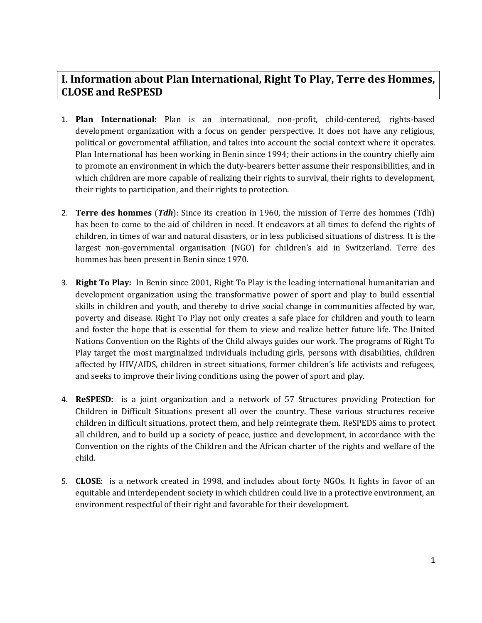## **I. Information about Plan International, Right To Play, Terre des Hommes, CLOSE and ReSPESD**

- 1. **Plan International:** Plan is an international, non-profit, child-centered, rights-based development organization with a focus on gender perspective. It does not have any religious, political or governmental affiliation, and takes into account the social context where it operates. Plan International has been working in Benin since 1994; their actions in the country chiefly aim to promote an environment in which the duty-bearers better assume their responsibilities, and in which children are more capable of realizing their rights to survival, their rights to development, their rights to participation, and their rights to protection.
- 2. **Terre des hommes** (*Tdh*): Since its creation in 1960, the mission of Terre des hommes (Tdh) has been to come to the aid of children in need. It endeavors at all times to defend the rights of children, in times of war and natural disasters, or in less publicised situations of distress. It is the largest non-governmental organisation (NGO) for children's aid in Switzerland. Terre des hommes has been present in Benin since 1970.
- 3. **Right To Play:** In Benin since 2001, Right To Play is the leading international humanitarian and development organization using the transformative power of sport and play to build essential skills in children and youth, and thereby to drive social change in communities affected by war, poverty and disease. Right To Play not only creates a safe place for children and youth to learn and foster the hope that is essential for them to view and realize better future life. The United Nations Convention on the Rights of the Child always guides our work. The programs of Right To Play target the most marginalized individuals including girls, persons with disabilities, children affected by HIV/AIDS, children in street situations, former children's life activists and refugees, and seeks to improve their living conditions using the power of sport and play.
- 4. **ReSPESD**: is a joint organization and a network of 57 Structures providing Protection for Children in Difficult Situations present all over the country. These various structures receive children in difficult situations, protect them, and help reintegrate them. ReSPEDS aims to protect all children, and to build up a society of peace, justice and development, in accordance with the Convention on the rights of the Children and the African charter of the rights and welfare of the child.
- 5. **CLOSE**: is a network created in 1998, and includes about forty NGOs. It fights in favor of an equitable and interdependent society in which children could live in a protective environment, an environment respectful of their right and favorable for their development.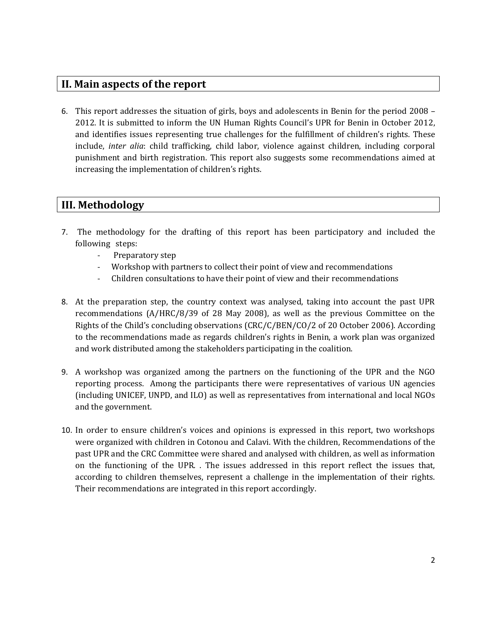#### **II. Main aspects of the report**

6. This report addresses the situation of girls, boys and adolescents in Benin for the period 2008 – 2012. It is submitted to inform the UN Human Rights Council's UPR for Benin in October 2012, and identifies issues representing true challenges for the fulfillment of children's rights. These include, *inter alia*: child trafficking, child labor, violence against children, including corporal punishment and birth registration. This report also suggests some recommendations aimed at increasing the implementation of children's rights.

#### **III. Methodology**

- 7. The methodology for the drafting of this report has been participatory and included the following steps:
	- Preparatory step
	- Workshop with partners to collect their point of view and recommendations
	- Children consultations to have their point of view and their recommendations
- 8. At the preparation step, the country context was analysed, taking into account the past UPR recommendations (A/HRC/8/39 of 28 May 2008), as well as the previous Committee on the Rights of the Child's concluding observations (CRC/C/BEN/CO/2 of 20 October 2006). According to the recommendations made as regards children's rights in Benin, a work plan was organized and work distributed among the stakeholders participating in the coalition.
- 9. A workshop was organized among the partners on the functioning of the UPR and the NGO reporting process. Among the participants there were representatives of various UN agencies (including UNICEF, UNPD, and ILO) as well as representatives from international and local NGOs and the government.
- 10. In order to ensure children's voices and opinions is expressed in this report, two workshops were organized with children in Cotonou and Calavi. With the children, Recommendations of the past UPR and the CRC Committee were shared and analysed with children, as well as information on the functioning of the UPR. . The issues addressed in this report reflect the issues that, according to children themselves, represent a challenge in the implementation of their rights. Their recommendations are integrated in this report accordingly.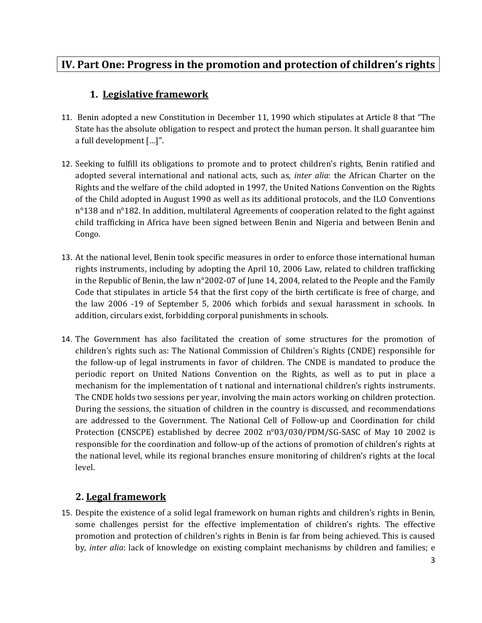## **IV. Part One: Progress in the promotion and protection of children's rights**

#### **1. Legislative framework**

- 11. Benin adopted a new Constitution in December 11, 1990 which stipulates at Article 8 that "The State has the absolute obligation to respect and protect the human person. It shall guarantee him a full development […]".
- 12. Seeking to fulfill its obligations to promote and to protect children's rights, Benin ratified and adopted several international and national acts, such as, *inter alia*: the African Charter on the Rights and the welfare of the child adopted in 1997, the United Nations Convention on the Rights of the Child adopted in August 1990 as well as its additional protocols, and the ILO Conventions n°138 and n°182. In addition, multilateral Agreements of cooperation related to the fight against child trafficking in Africa have been signed between Benin and Nigeria and between Benin and Congo.
- 13. At the national level, Benin took specific measures in order to enforce those international human rights instruments, including by adopting the April 10, 2006 Law, related to children trafficking in the Republic of Benin, the law n°2002-07 of June 14, 2004, related to the People and the Family Code that stipulates in article 54 that the first copy of the birth certificate is free of charge, and the law 2006 -19 of September 5, 2006 which forbids and sexual harassment in schools. In addition, circulars exist, forbidding corporal punishments in schools.
- 14. The Government has also facilitated the creation of some structures for the promotion of children's rights such as: The National Commission of Children's Rights (CNDE) responsible for the follow-up of legal instruments in favor of children. The CNDE is mandated to produce the periodic report on United Nations Convention on the Rights, as well as to put in place a mechanism for the implementation of t national and international children's rights instruments. The CNDE holds two sessions per year, involving the main actors working on children protection. During the sessions, the situation of children in the country is discussed, and recommendations are addressed to the Government. The National Cell of Follow-up and Coordination for child Protection (CNSCPE) established by decree 2002 n°03/030/PDM/SG-SASC of May 10 2002 is responsible for the coordination and follow-up of the actions of promotion of children's rights at the national level, while its regional branches ensure monitoring of children's rights at the local level.

#### **2. Legal framework**

15. Despite the existence of a solid legal framework on human rights and children's rights in Benin, some challenges persist for the effective implementation of children's rights. The effective promotion and protection of children's rights in Benin is far from being achieved. This is caused by, *inter alia*: lack of knowledge on existing complaint mechanisms by children and families; e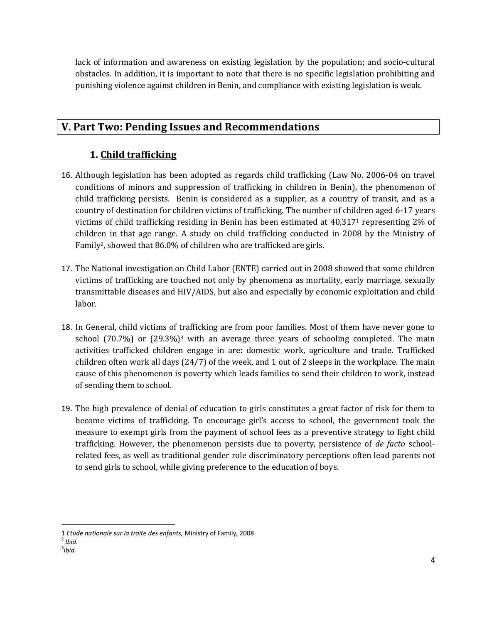lack of information and awareness on existing legislation by the population; and socio-cultural obstacles. In addition, it is important to note that there is no specific legislation prohibiting and punishing violence against children in Benin, and compliance with existing legislation is weak.

## **V. Part Two: Pending Issues and Recommendations**

#### **1. Child trafficking**

- 16. Although legislation has been adopted as regards child trafficking (Law No. 2006-04 on travel conditions of minors and suppression of trafficking in children in Benin), the phenomenon of child trafficking persists. Benin is considered as a supplier, as a country of transit, and as a country of destination for children victims of trafficking. The number of children aged 6-17 years victims of child trafficking residing in Benin has been estimated at 40,317<sup>1</sup> representing 2% of children in that age range. A study on child trafficking conducted in 2008 by the Ministry of Family<sup>2</sup>, showed that 86.0% of children who are trafficked are girls.
- 17. The National investigation on Child Labor (ENTE) carried out in 2008 showed that some children victims of trafficking are touched not only by phenomena as mortality, early marriage, sexually transmittable diseases and HIV/AIDS, but also and especially by economic exploitation and child labor.
- 18. In General, child victims of trafficking are from poor families. Most of them have never gone to school  $(70.7%)$  or  $(29.3%)$ <sup>3</sup> with an average three years of schooling completed. The main activities trafficked children engage in are: domestic work, agriculture and trade. Trafficked children often work all days (24/7) of the week, and 1 out of 2 sleeps in the workplace. The main cause of this phenomenon is poverty which leads families to send their children to work, instead of sending them to school.
- 19. The high prevalence of denial of education to girls constitutes a great factor of risk for them to become victims of trafficking. To encourage girl's access to school, the government took the measure to exempt girls from the payment of school fees as a preventive strategy to fight child trafficking. However, the phenomenon persists due to poverty, persistence of *de facto* schoolrelated fees, as well as traditional gender role discriminatory perceptions often lead parents not to send girls to school, while giving preference to the education of boys.

 $\overline{\phantom{a}}$ 

<sup>1</sup> *Etude nationale sur la traite des enfants,* Ministry of Family, 2008

<sup>2</sup> *Ibid.*

<sup>3</sup> *Ibid.*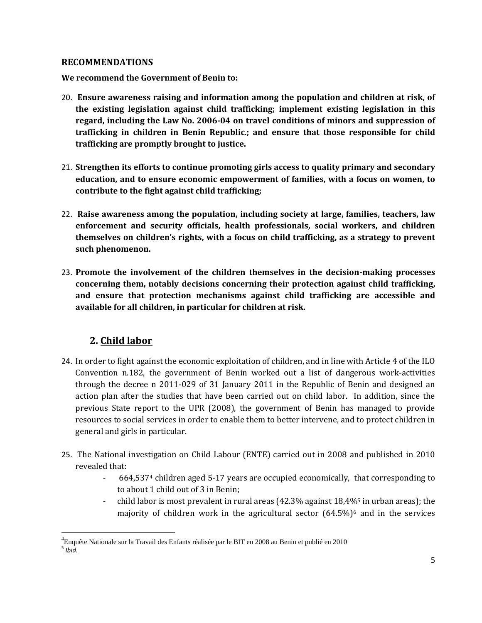#### **RECOMMENDATIONS**

**We recommend the Government of Benin to:**

- 20. **Ensure awareness raising and information among the population and children at risk, of the existing legislation against child trafficking; implement existing legislation in this regard, including the Law No. 2006-04 on travel conditions of minors and suppression of trafficking in children in Benin Republic**.**; and ensure that those responsible for child trafficking are promptly brought to justice.**
- 21. **Strengthen its efforts to continue promoting girls access to quality primary and secondary education, and to ensure economic empowerment of families, with a focus on women, to contribute to the fight against child trafficking;**
- 22. **Raise awareness among the population, including society at large, families, teachers, law enforcement and security officials, health professionals, social workers, and children themselves on children's rights, with a focus on child trafficking, as a strategy to prevent such phenomenon.**
- 23. **Promote the involvement of the children themselves in the decision-making processes concerning them, notably decisions concerning their protection against child trafficking, and ensure that protection mechanisms against child trafficking are accessible and available for all children, in particular for children at risk.**

#### **2. Child labor**

 $\overline{\phantom{a}}$ 

- 24. In order to fight against the economic exploitation of children, and in line with Article 4 of the ILO Convention n.182, the government of Benin worked out a list of dangerous work-activities through the decree n 2011-029 of 31 January 2011 in the Republic of Benin and designed an action plan after the studies that have been carried out on child labor. In addition, since the previous State report to the UPR (2008), the government of Benin has managed to provide resources to social services in order to enable them to better intervene, and to protect children in general and girls in particular.
- 25. The National investigation on Child Labour (ENTE) carried out in 2008 and published in 2010 revealed that:
	- 664,537<sup>4</sup> children aged 5-17 years are occupied economically, that corresponding to to about 1 child out of 3 in Benin;
	- child labor is most prevalent in rural areas (42.3% against 18,4%<sup>5</sup> in urban areas); the majority of children work in the agricultural sector  $(64.5\%)^6$  and in the services

<sup>&</sup>lt;sup>4</sup>Enquête Nationale sur la Travail des Enfants réalisée par le BIT en 2008 au Benin et publié en 2010 5 *Ibid.*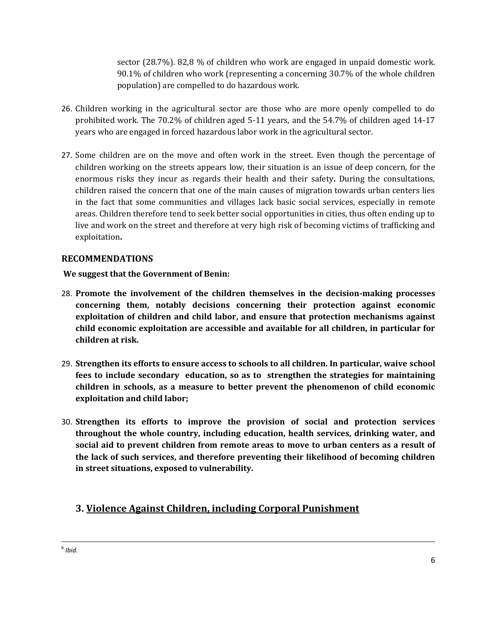sector (28.7%). 82,8 % of children who work are engaged in unpaid domestic work. 90.1% of children who work (representing a concerning 30.7% of the whole children population) are compelled to do hazardous work.

- 26. Children working in the agricultural sector are those who are more openly compelled to do prohibited work. The 70.2% of children aged 5-11 years, and the 54.7% of children aged 14-17 years who are engaged in forced hazardous labor work in the agricultural sector.
- 27. Some children are on the move and often work in the street. Even though the percentage of children working on the streets appears low, their situation is an issue of deep concern, for the enormous risks they incur as regards their health and their safety**.** During the consultations, children raised the concern that one of the main causes of migration towards urban centers lies in the fact that some communities and villages lack basic social services, especially in remote areas. Children therefore tend to seek better social opportunities in cities, thus often ending up to live and work on the street and therefore at very high risk of becoming victims of trafficking and exploitation**.**

#### **RECOMMENDATIONS**

**We suggest that the Government of Benin:**

- 28. **Promote the involvement of the children themselves in the decision-making processes concerning them, notably decisions concerning their protection against economic exploitation of children and child labor, and ensure that protection mechanisms against child economic exploitation are accessible and available for all children, in particular for children at risk.**
- 29. **Strengthen its efforts to ensure access to schools to all children. In particular, waive school fees to include secondary education, so as to strengthen the strategies for maintaining children in schools, as a measure to better prevent the phenomenon of child economic exploitation and child labor;**
- 30. **Strengthen its efforts to improve the provision of social and protection services throughout the whole country, including education, health services, drinking water, and social aid to prevent children from remote areas to move to urban centers as a result of the lack of such services, and therefore preventing their likelihood of becoming children in street situations, exposed to vulnerability.**

## **3. Violence Against Children, including Corporal Punishment**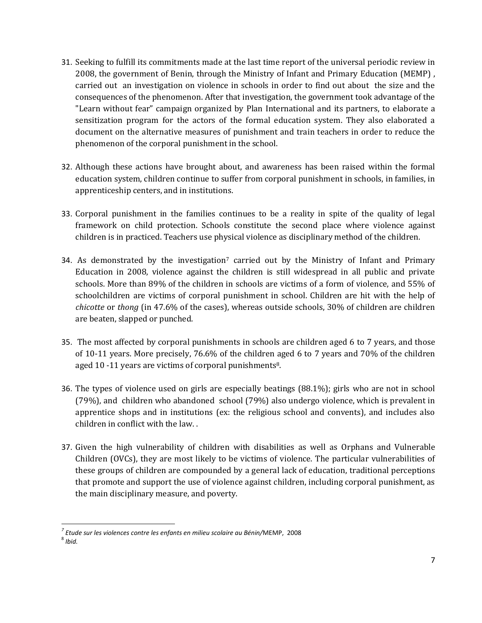- 31. Seeking to fulfill its commitments made at the last time report of the universal periodic review in 2008, the government of Benin, through the Ministry of Infant and Primary Education (MEMP) , carried out an investigation on violence in schools in order to find out about the size and the consequences of the phenomenon. After that investigation, the government took advantage of the "Learn without fear" campaign organized by Plan International and its partners, to elaborate a sensitization program for the actors of the formal education system. They also elaborated a document on the alternative measures of punishment and train teachers in order to reduce the phenomenon of the corporal punishment in the school.
- 32. Although these actions have brought about, and awareness has been raised within the formal education system, children continue to suffer from corporal punishment in schools, in families, in apprenticeship centers, and in institutions.
- 33. Corporal punishment in the families continues to be a reality in spite of the quality of legal framework on child protection. Schools constitute the second place where violence against children is in practiced. Teachers use physical violence as disciplinary method of the children.
- 34. As demonstrated by the investigation<sup>7</sup> carried out by the Ministry of Infant and Primary Education in 2008, violence against the children is still widespread in all public and private schools. More than 89% of the children in schools are victims of a form of violence, and 55% of schoolchildren are victims of corporal punishment in school. Children are hit with the help of *chicotte* or *thong* (in 47.6% of the cases), whereas outside schools, 30% of children are children are beaten, slapped or punched.
- 35. The most affected by corporal punishments in schools are children aged 6 to 7 years, and those of 10-11 years. More precisely, 76.6% of the children aged 6 to 7 years and 70% of the children aged 10 -11 years are victims of corporal punishments<sup>8</sup>.
- 36. The types of violence used on girls are especially beatings (88.1%); girls who are not in school (79%), and children who abandoned school (79%) also undergo violence, which is prevalent in apprentice shops and in institutions (ex: the religious school and convents), and includes also children in conflict with the law. .
- 37. Given the high vulnerability of children with disabilities as well as Orphans and Vulnerable Children (OVCs), they are most likely to be victims of violence. The particular vulnerabilities of these groups of children are compounded by a general lack of education, traditional perceptions that promote and support the use of violence against children, including corporal punishment, as the main disciplinary measure, and poverty.

l *7 Etude sur les violences contre les enfants en milieu scolaire au Bénin/*MEMP, 2008

<sup>8</sup> *Ibid.*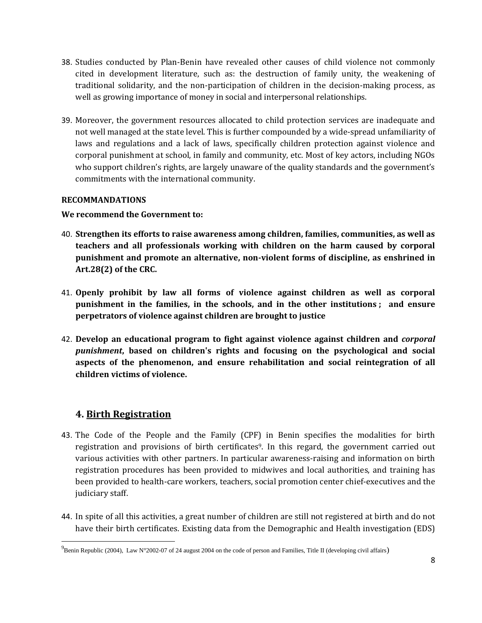- 38. Studies conducted by Plan-Benin have revealed other causes of child violence not commonly cited in development literature, such as: the destruction of family unity, the weakening of traditional solidarity, and the non-participation of children in the decision-making process, as well as growing importance of money in social and interpersonal relationships.
- 39. Moreover, the government resources allocated to child protection services are inadequate and not well managed at the state level. This is further compounded by a wide-spread unfamiliarity of laws and regulations and a lack of laws, specifically children protection against violence and corporal punishment at school, in family and community, etc. Most of key actors, including NGOs who support children's rights, are largely unaware of the quality standards and the government's commitments with the international community.

#### **RECOMMANDATIONS**

#### **We recommend the Government to:**

- 40. **Strengthen its efforts to raise awareness among children, families, communities, as well as teachers and all professionals working with children on the harm caused by corporal punishment and promote an alternative, non-violent forms of discipline, as enshrined in Art.28(2) of the CRC.**
- 41. **Openly prohibit by law all forms of violence against children as well as corporal punishment in the families, in the schools, and in the other institutions ; and ensure perpetrators of violence against children are brought to justice**
- 42. **Develop an educational program to fight against violence against children and** *corporal punishment***, based on children's rights and focusing on the psychological and social aspects of the phenomenon, and ensure rehabilitation and social reintegration of all children victims of violence.**

#### **4. Birth Registration**

 $\overline{\phantom{a}}$ 

- 43. The Code of the People and the Family (CPF) in Benin specifies the modalities for birth registration and provisions of birth certificates<sup>9</sup>. In this regard, the government carried out various activities with other partners. In particular awareness-raising and information on birth registration procedures has been provided to midwives and local authorities, and training has been provided to health-care workers, teachers, social promotion center chief-executives and the judiciary staff.
- 44. In spite of all this activities, a great number of children are still not registered at birth and do not have their birth certificates. Existing data from the Demographic and Health investigation (EDS)

<sup>&</sup>lt;sup>9</sup> Benin Republic (2004), Law N°2002-07 of 24 august 2004 on the code of person and Families, Title II (developing civil affairs)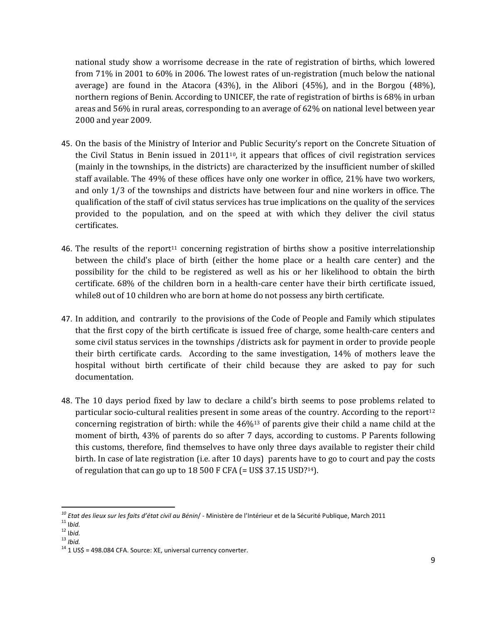national study show a worrisome decrease in the rate of registration of births, which lowered from 71% in 2001 to 60% in 2006. The lowest rates of un-registration (much below the national average) are found in the Atacora (43%), in the Alibori (45%), and in the Borgou (48%), northern regions of Benin. According to UNICEF, the rate of registration of births is 68% in urban areas and 56% in rural areas, corresponding to an average of 62% on national level between year 2000 and year 2009.

- 45. On the basis of the Ministry of Interior and Public Security's report on the Concrete Situation of the Civil Status in Benin issued in  $2011^{10}$ , it appears that offices of civil registration services (mainly in the townships, in the districts) are characterized by the insufficient number of skilled staff available. The 49% of these offices have only one worker in office, 21% have two workers, and only 1/3 of the townships and districts have between four and nine workers in office. The qualification of the staff of civil status services has true implications on the quality of the services provided to the population, and on the speed at with which they deliver the civil status certificates.
- 46. The results of the report<sup>11</sup> concerning registration of births show a positive interrelationship between the child's place of birth (either the home place or a health care center) and the possibility for the child to be registered as well as his or her likelihood to obtain the birth certificate. 68% of the children born in a health-care center have their birth certificate issued, while8 out of 10 children who are born at home do not possess any birth certificate.
- 47. In addition, and contrarily to the provisions of the Code of People and Family which stipulates that the first copy of the birth certificate is issued free of charge, some health-care centers and some civil status services in the townships /districts ask for payment in order to provide people their birth certificate cards. According to the same investigation, 14% of mothers leave the hospital without birth certificate of their child because they are asked to pay for such documentation.
- 48. The 10 days period fixed by law to declare a child's birth seems to pose problems related to particular socio-cultural realities present in some areas of the country. According to the report<sup>12</sup> concerning registration of birth: while the  $46\frac{1}{3}$  of parents give their child a name child at the moment of birth, 43% of parents do so after 7 days, according to customs. P Parents following this customs, therefore, find themselves to have only three days available to register their child birth. In case of late registration (i.e. after 10 days) parents have to go to court and pay the costs of regulation that can go up to 18 500 F CFA (= US\$ 37.15 USD? <sup>14</sup>).

 $\overline{a}$ 

<sup>13</sup> *Ibid.*

*<sup>10</sup> Etat des lieux sur les faits d'état civil au Bénin*/ - Ministère de l'Intérieur et de la Sécurité Publique, March 2011

<sup>11</sup> I*bid.*

<sup>12</sup> I*bid.*

<sup>&</sup>lt;sup>14</sup> 1 US\$ = 498.084 CFA. Source: XE, universal currency converter.